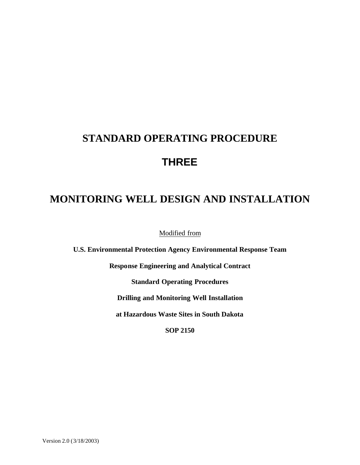# **STANDARD OPERATING PROCEDURE THREE**

# **MONITORING WELL DESIGN AND INSTALLATION**

Modified from

**U.S. Environmental Protection Agency Environmental Response Team**

**Response Engineering and Analytical Contract**

**Standard Operating Procedures**

**Drilling and Monitoring Well Installation**

**at Hazardous Waste Sites in South Dakota**

**SOP 2150**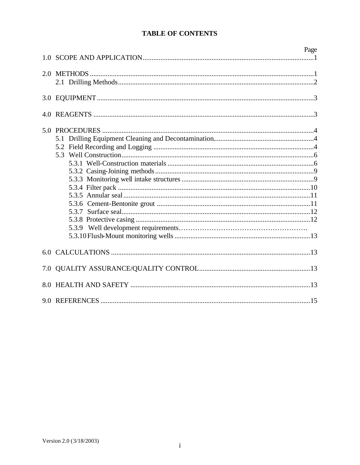## **TABLE OF CONTENTS**

|     | Page |
|-----|------|
| 1.0 |      |
|     |      |
|     |      |
|     |      |
|     |      |
|     |      |
|     |      |
|     |      |
|     |      |
|     |      |
|     |      |
|     |      |
|     |      |
|     |      |
|     |      |
|     |      |
|     |      |
|     |      |
|     |      |
|     |      |
|     |      |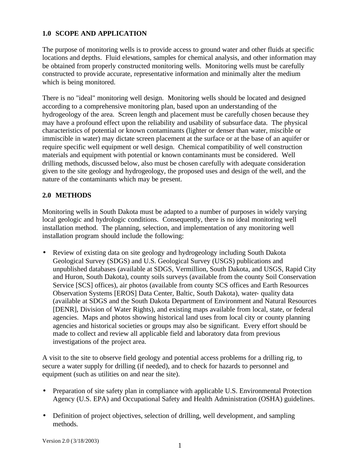#### **1.0 SCOPE AND APPLICATION**

The purpose of monitoring wells is to provide access to ground water and other fluids at specific locations and depths. Fluid elevations, samples for chemical analysis, and other information may be obtained from properly constructed monitoring wells. Monitoring wells must be carefully constructed to provide accurate, representative information and minimally alter the medium which is being monitored.

There is no "ideal" monitoring well design. Monitoring wells should be located and designed according to a comprehensive monitoring plan, based upon an understanding of the hydrogeology of the area. Screen length and placement must be carefully chosen because they may have a profound effect upon the reliability and usability of subsurface data. The physical characteristics of potential or known contaminants (lighter or denser than water, miscible or immiscible in water) may dictate screen placement at the surface or at the base of an aquifer or require specific well equipment or well design. Chemical compatibility of well construction materials and equipment with potential or known contaminants must be considered. Well drilling methods, discussed below, also must be chosen carefully with adequate consideration given to the site geology and hydrogeology, the proposed uses and design of the well, and the nature of the contaminants which may be present.

#### **2.0 METHODS**

Monitoring wells in South Dakota must be adapted to a number of purposes in widely varying local geologic and hydrologic conditions. Consequently, there is no ideal monitoring well installation method. The planning, selection, and implementation of any monitoring well installation program should include the following:

• Review of existing data on site geology and hydrogeology including South Dakota Geological Survey (SDGS) and U.S. Geological Survey (USGS) publications and unpublished databases (available at SDGS, Vermillion, South Dakota, and USGS, Rapid City and Huron, South Dakota), county soils surveys (available from the county Soil Conservation Service [SCS] offices), air photos (available from county SCS offices and Earth Resources Observation Systems [EROS] Data Center, Baltic, South Dakota), water- quality data (available at SDGS and the South Dakota Department of Environment and Natural Resources [DENR], Division of Water Rights), and existing maps available from local, state, or federal agencies. Maps and photos showing historical land uses from local city or county planning agencies and historical societies or groups may also be significant. Every effort should be made to collect and review all applicable field and laboratory data from previous investigations of the project area.

A visit to the site to observe field geology and potential access problems for a drilling rig, to secure a water supply for drilling (if needed), and to check for hazards to personnel and equipment (such as utilities on and near the site).

- Preparation of site safety plan in compliance with applicable U.S. Environmental Protection Agency (U.S. EPA) and Occupational Safety and Health Administration (OSHA) guidelines.
- Definition of project objectives, selection of drilling, well development, and sampling methods.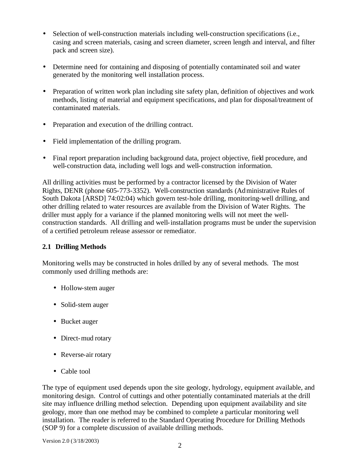- Selection of well-construction materials including well-construction specifications (i.e., casing and screen materials, casing and screen diameter, screen length and interval, and filter pack and screen size).
- Determine need for containing and disposing of potentially contaminated soil and water generated by the monitoring well installation process.
- Preparation of written work plan including site safety plan, definition of objectives and work methods, listing of material and equipment specifications, and plan for disposal/treatment of contaminated materials.
- Preparation and execution of the drilling contract.
- Field implementation of the drilling program.
- Final report preparation including background data, project objective, field procedure, and well-construction data, including well logs and well-construction information.

All drilling activities must be performed by a contractor licensed by the Division of Water Rights, DENR (phone 605-773-3352). Well-construction standards (Administrative Rules of South Dakota [ARSD] 74:02:04) which govern test-hole drilling, monitoring-well drilling, and other drilling related to water resources are available from the Division of Water Rights. The driller must apply for a variance if the planned monitoring wells will not meet the wellconstruction standards. All drilling and well-installation programs must be under the supervision of a certified petroleum release assessor or remediator.

## **2.1 Drilling Methods**

Monitoring wells may be constructed in holes drilled by any of several methods. The most commonly used drilling methods are:

- Hollow-stem auger
- Solid-stem auger
- Bucket auger
- Direct-mud rotary
- Reverse-air rotary
- Cable tool

The type of equipment used depends upon the site geology, hydrology, equipment available, and monitoring design. Control of cuttings and other potentially contaminated materials at the drill site may influence drilling method selection. Depending upon equipment availability and site geology, more than one method may be combined to complete a particular monitoring well installation. The reader is referred to the Standard Operating Procedure for Drilling Methods (SOP 9) for a complete discussion of available drilling methods.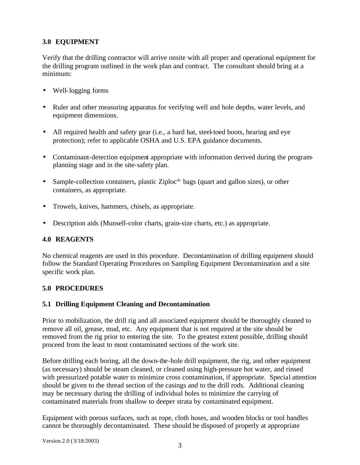# **3.0 EQUIPMENT**

Verify that the drilling contractor will arrive onsite with all proper and operational equipment for the drilling program outlined in the work plan and contract. The consultant should bring at a minimum:

- Well-logging forms
- Ruler and other measuring apparatus for verifying well and hole depths, water levels, and equipment dimensions.
- All required health and safety gear (i.e., a hard hat, steel-toed boots, hearing and eye protection); refer to applicable OSHA and U.S. EPA guidance documents.
- Contaminant-detection equipment appropriate with information derived during the programplanning stage and in the site-safety plan.
- Sample-collection containers, plastic Ziploc $\epsilon$  bags (quart and gallon sizes), or other containers, as appropriate.
- Trowels, knives, hammers, chisels, as appropriate.
- Description aids (Munsell-color charts, grain-size charts, etc.) as appropriate.

#### **4.0 REAGENTS**

No chemical reagents are used in this procedure. Decontamination of drilling equipment should follow the Standard Operating Procedures on Sampling Equipment Decontamination and a site specific work plan.

#### **5.0 PROCEDURES**

#### **5.1 Drilling Equipment Cleaning and Decontamination**

Prior to mobilization, the drill rig and all associated equipment should be thoroughly cleaned to remove all oil, grease, mud, etc. Any equipment that is not required at the site should be removed from the rig prior to entering the site. To the greatest extent possible, drilling should proceed from the least to most contaminated sections of the work site.

Before drilling each boring, all the down-the-hole drill equipment, the rig, and other equipment (as necessary) should be steam cleaned, or cleaned using high-pressure hot water, and rinsed with pressurized potable water to minimize cross contamination, if appropriate. Special attention should be given to the thread section of the casings and to the drill rods. Additional cleaning may be necessary during the drilling of individual holes to minimize the carrying of contaminated materials from shallow to deeper strata by contaminated equipment.

Equipment with porous surfaces, such as rope, cloth hoses, and wooden blocks or tool handles cannot be thoroughly decontaminated. These should be disposed of properly at appropriate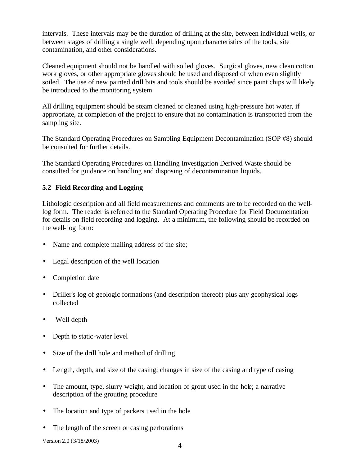intervals. These intervals may be the duration of drilling at the site, between individual wells, or between stages of drilling a single well, depending upon characteristics of the tools, site contamination, and other considerations.

Cleaned equipment should not be handled with soiled gloves. Surgical gloves, new clean cotton work gloves, or other appropriate gloves should be used and disposed of when even slightly soiled. The use of new painted drill bits and tools should be avoided since paint chips will likely be introduced to the monitoring system.

All drilling equipment should be steam cleaned or cleaned using high-pressure hot water, if appropriate, at completion of the project to ensure that no contamination is transported from the sampling site.

The Standard Operating Procedures on Sampling Equipment Decontamination (SOP #8) should be consulted for further details.

The Standard Operating Procedures on Handling Investigation Derived Waste should be consulted for guidance on handling and disposing of decontamination liquids.

#### **5.2 Field Recording and Logging**

Lithologic description and all field measurements and comments are to be recorded on the welllog form. The reader is referred to the Standard Operating Procedure for Field Documentation for details on field recording and logging. At a minimum, the following should be recorded on the well-log form:

- Name and complete mailing address of the site;
- Legal description of the well location
- Completion date
- Driller's log of geologic formations (and description thereof) plus any geophysical logs collected
- Well depth
- Depth to static-water level
- Size of the drill hole and method of drilling
- Length, depth, and size of the casing; changes in size of the casing and type of casing
- The amount, type, slurry weight, and location of grout used in the hole; a narrative description of the grouting procedure
- The location and type of packers used in the hole
- The length of the screen or casing perforations

Version 2.0 (3/18/2003)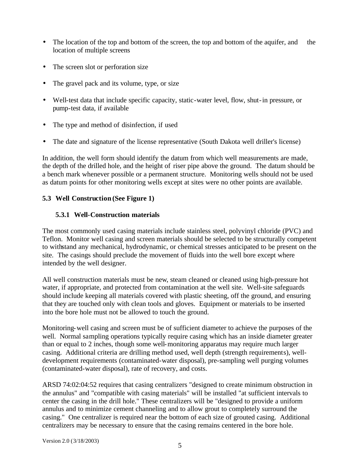- The location of the top and bottom of the screen, the top and bottom of the aquifer, and the location of multiple screens
- The screen slot or perforation size
- The gravel pack and its volume, type, or size
- Well-test data that include specific capacity, static-water level, flow, shut-in pressure, or pump-test data, if available
- The type and method of disinfection, if used
- The date and signature of the license representative (South Dakota well driller's license)

In addition, the well form should identify the datum from which well measurements are made, the depth of the drilled hole, and the height of riser pipe above the ground. The datum should be a bench mark whenever possible or a permanent structure. Monitoring wells should not be used as datum points for other monitoring wells except at sites were no other points are available.

#### **5.3 Well Construction (See Figure 1)**

#### **5.3.1 Well-Construction materials**

The most commonly used casing materials include stainless steel, polyvinyl chloride (PVC) and Teflon. Monitor well casing and screen materials should be selected to be structurally competent to withstand any mechanical, hydrodynamic, or chemical stresses anticipated to be present on the site. The casings should preclude the movement of fluids into the well bore except where intended by the well designer.

All well construction materials must be new, steam cleaned or cleaned using high-pressure hot water, if appropriate, and protected from contamination at the well site. Well-site safeguards should include keeping all materials covered with plastic sheeting, off the ground, and ensuring that they are touched only with clean tools and gloves. Equipment or materials to be inserted into the bore hole must not be allowed to touch the ground.

Monitoring-well casing and screen must be of sufficient diameter to achieve the purposes of the well. Normal sampling operations typically require casing which has an inside diameter greater than or equal to 2 inches, though some well-monitoring apparatus may require much larger casing. Additional criteria are drilling method used, well depth (strength requirements), welldevelopment requirements (contaminated-water disposal), pre-sampling well purging volumes (contaminated-water disposal), rate of recovery, and costs.

ARSD 74:02:04:52 requires that casing centralizers "designed to create minimum obstruction in the annulus" and "compatible with casing materials" will be installed "at sufficient intervals to center the casing in the drill hole." These centralizers will be "designed to provide a uniform annulus and to minimize cement channeling and to allow grout to completely surround the casing." One centralizer is required near the bottom of each size of grouted casing. Additional centralizers may be necessary to ensure that the casing remains centered in the bore hole.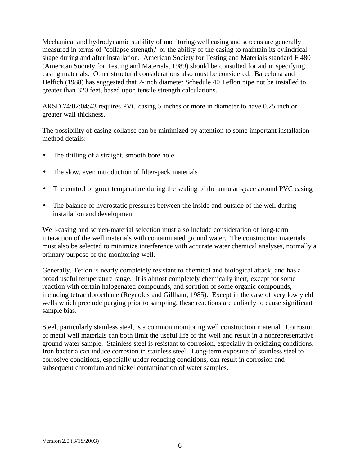Mechanical and hydrodynamic stability of monitoring-well casing and screens are generally measured in terms of "collapse strength," or the ability of the casing to maintain its cylindrical shape during and after installation. American Society for Testing and Materials standard F 480 (American Society for Testing and Materials, 1989) should be consulted for aid in specifying casing materials. Other structural considerations also must be considered. Barcelona and Helfich (1988) has suggested that 2-inch diameter Schedule 40 Teflon pipe not be installed to greater than 320 feet, based upon tensile strength calculations.

ARSD 74:02:04:43 requires PVC casing 5 inches or more in diameter to have 0.25 inch or greater wall thickness.

The possibility of casing collapse can be minimized by attention to some important installation method details:

- The drilling of a straight, smooth bore hole
- The slow, even introduction of filter-pack materials
- The control of grout temperature during the sealing of the annular space around PVC casing
- The balance of hydrostatic pressures between the inside and outside of the well during installation and development

Well-casing and screen-material selection must also include consideration of long-term interaction of the well materials with contaminated ground water. The construction materials must also be selected to minimize interference with accurate water chemical analyses, normally a primary purpose of the monitoring well.

Generally, Teflon is nearly completely resistant to chemical and biological attack, and has a broad useful temperature range. It is almost completely chemically inert, except for some reaction with certain halogenated compounds, and sorption of some organic compounds, including tetrachloroethane (Reynolds and Gillham, 1985). Except in the case of very low yield wells which preclude purging prior to sampling, these reactions are unlikely to cause significant sample bias.

Steel, particularly stainless steel, is a common monitoring well construction material. Corrosion of metal well materials can both limit the useful life of the well and result in a nonrepresentative ground water sample. Stainless steel is resistant to corrosion, especially in oxidizing conditions. Iron bacteria can induce corrosion in stainless steel. Long-term exposure of stainless steel to corrosive conditions, especially under reducing conditions, can result in corrosion and subsequent chromium and nickel contamination of water samples.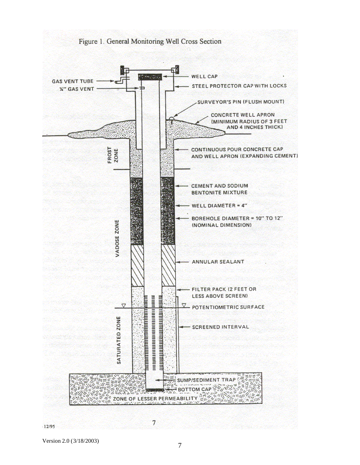

Version 2.0 (3/18/2003)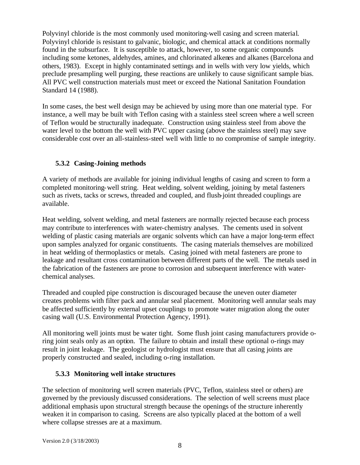Polyvinyl chloride is the most commonly used monitoring-well casing and screen material. Polyvinyl chloride is resistant to galvanic, biologic, and chemical attack at conditions normally found in the subsurface. It is susceptible to attack, however, to some organic compounds including some ketones, aldehydes, amines, and chlorinated alkenes and alkanes (Barcelona and others, 1983). Except in highly contaminated settings and in wells with very low yields, which preclude presampling well purging, these reactions are unlikely to cause significant sample bias. All PVC well construction materials must meet or exceed the National Sanitation Foundation Standard 14 (1988).

In some cases, the best well design may be achieved by using more than one material type. For instance, a well may be built with Teflon casing with a stainless steel screen where a well screen of Teflon would be structurally inadequate. Construction using stainless steel from above the water level to the bottom the well with PVC upper casing (above the stainless steel) may save considerable cost over an all-stainless-steel well with little to no compromise of sample integrity.

#### **5.3.2 Casing-Joining methods**

A variety of methods are available for joining individual lengths of casing and screen to form a completed monitoring-well string. Heat welding, solvent welding, joining by metal fasteners such as rivets, tacks or screws, threaded and coupled, and flush-joint threaded couplings are available.

Heat welding, solvent welding, and metal fasteners are normally rejected because each process may contribute to interferences with water-chemistry analyses. The cements used in solvent welding of plastic casing materials are organic solvents which can have a major long-term effect upon samples analyzed for organic constituents. The casing materials themselves are mobilized in heat welding of thermoplastics or metals. Casing joined with metal fasteners are prone to leakage and resultant cross contamination between different parts of the well. The metals used in the fabrication of the fasteners are prone to corrosion and subsequent interference with waterchemical analyses.

Threaded and coupled pipe construction is discouraged because the uneven outer diameter creates problems with filter pack and annular seal placement. Monitoring well annular seals may be affected sufficiently by external upset couplings to promote water migration along the outer casing wall (U.S. Environmental Protection Agency, 1991).

All monitoring well joints must be water tight. Some flush joint casing manufacturers provide oring joint seals only as an option. The failure to obtain and install these optional o-rings may result in joint leakage. The geologist or hydrologist must ensure that all casing joints are properly constructed and sealed, including o-ring installation.

#### **5.3.3 Monitoring well intake structures**

The selection of monitoring well screen materials (PVC, Teflon, stainless steel or others) are governed by the previously discussed considerations. The selection of well screens must place additional emphasis upon structural strength because the openings of the structure inherently weaken it in comparison to casing. Screens are also typically placed at the bottom of a well where collapse stresses are at a maximum.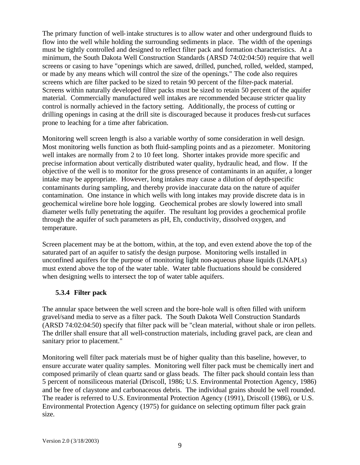The primary function of well-intake structures is to allow water and other underground fluids to flow into the well while holding the surrounding sediments in place. The width of the openings must be tightly controlled and designed to reflect filter pack and formation characteristics. At a minimum, the South Dakota Well Construction Standards (ARSD 74:02:04:50) require that well screens or casing to have "openings which are sawed, drilled, punched, rolled, welded, stamped, or made by any means which will control the size of the openings." The code also requires screens which are filter packed to be sized to retain 90 percent of the filter-pack material. Screens within naturally developed filter packs must be sized to retain 50 percent of the aquifer material. Commercially manufactured well intakes are recommended because stricter qua lity control is normally achieved in the factory setting. Additionally, the process of cutting or drilling openings in casing at the drill site is discouraged because it produces fresh-cut surfaces prone to leaching for a time after fabrication.

Monitoring well screen length is also a variable worthy of some consideration in well design. Most monitoring wells function as both fluid-sampling points and as a piezometer. Monitoring well intakes are normally from 2 to 10 feet long. Shorter intakes provide more specific and precise information about vertically distributed water quality, hydraulic head, and flow. If the objective of the well is to monitor for the gross presence of contaminants in an aquifer, a longer intake may be appropriate. However, long intakes may cause a dilution of depth-specific contaminants during sampling, and thereby provide inaccurate data on the nature of aquifer contamination. One instance in which wells with long intakes may provide discrete data is in geochemical wireline bore hole logging. Geochemical probes are slowly lowered into small diameter wells fully penetrating the aquifer. The resultant log provides a geochemical profile through the aquifer of such parameters as pH, Eh, conductivity, dissolved oxygen, and temperature.

Screen placement may be at the bottom, within, at the top, and even extend above the top of the saturated part of an aquifer to satisfy the design purpose. Monitoring wells installed in unconfined aquifers for the purpose of monitoring light non-aqueous phase liquids (LNAPLs) must extend above the top of the water table. Water table fluctuations should be considered when designing wells to intersect the top of water table aquifers.

#### **5.3.4 Filter pack**

The annular space between the well screen and the bore-hole wall is often filled with uniform gravel/sand media to serve as a filter pack. The South Dakota Well Construction Standards (ARSD 74:02:04:50) specify that filter pack will be "clean material, without shale or iron pellets. The driller shall ensure that all well-construction materials, including gravel pack, are clean and sanitary prior to placement."

Monitoring well filter pack materials must be of higher quality than this baseline, however, to ensure accurate water quality samples. Monitoring well filter pack must be chemically inert and composed primarily of clean quartz sand or glass beads. The filter pack should contain less than 5 percent of nonsiliceous material (Driscoll, 1986; U.S. Environmental Protection Agency, 1986) and be free of claystone and carbonaceous debris. The individual grains should be well rounded. The reader is referred to U.S. Environmental Protection Agency (1991), Driscoll (1986), or U.S. Environmental Protection Agency (1975) for guidance on selecting optimum filter pack grain size.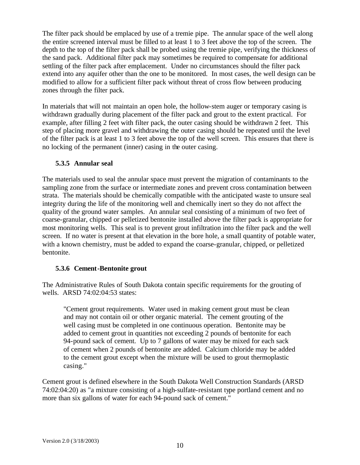The filter pack should be emplaced by use of a tremie pipe. The annular space of the well along the entire screened interval must be filled to at least 1 to 3 feet above the top of the screen. The depth to the top of the filter pack shall be probed using the tremie pipe, verifying the thickness of the sand pack. Additional filter pack may sometimes be required to compensate for additional settling of the filter pack after emplacement. Under no circumstances should the filter pack extend into any aquifer other than the one to be monitored. In most cases, the well design can be modified to allow for a sufficient filter pack without threat of cross flow between producing zones through the filter pack.

In materials that will not maintain an open hole, the hollow-stem auger or temporary casing is withdrawn gradually during placement of the filter pack and grout to the extent practical. For example, after filling 2 feet with filter pack, the outer casing should be withdrawn 2 feet. This step of placing more gravel and withdrawing the outer casing should be repeated until the level of the filter pack is at least 1 to 3 feet above the top of the well screen. This ensures that there is no locking of the permanent (inner) casing in the outer casing.

#### **5.3.5 Annular seal**

The materials used to seal the annular space must prevent the migration of contaminants to the sampling zone from the surface or intermediate zones and prevent cross contamination between strata. The materials should be chemically compatible with the anticipated waste to unsure seal integrity during the life of the monitoring well and chemically inert so they do not affect the quality of the ground water samples. An annular seal consisting of a minimum of two feet of coarse-granular, chipped or pelletized bentonite installed above the filter pack is appropriate for most monitoring wells. This seal is to prevent grout infiltration into the filter pack and the well screen. If no water is present at that elevation in the bore hole, a small quantity of potable water, with a known chemistry, must be added to expand the coarse-granular, chipped, or pelletized bentonite.

#### **5.3.6 Cement-Bentonite grout**

The Administrative Rules of South Dakota contain specific requirements for the grouting of wells. ARSD 74:02:04:53 states:

"Cement grout requirements. Water used in making cement grout must be clean and may not contain oil or other organic material. The cement grouting of the well casing must be completed in one continuous operation. Bentonite may be added to cement grout in quantities not exceeding 2 pounds of bentonite for each 94-pound sack of cement. Up to 7 gallons of water may be mixed for each sack of cement when 2 pounds of bentonite are added. Calcium chloride may be added to the cement grout except when the mixture will be used to grout thermoplastic casing."

Cement grout is defined elsewhere in the South Dakota Well Construction Standards (ARSD 74:02:04:20) as "a mixture consisting of a high-sulfate-resistant type portland cement and no more than six gallons of water for each 94-pound sack of cement."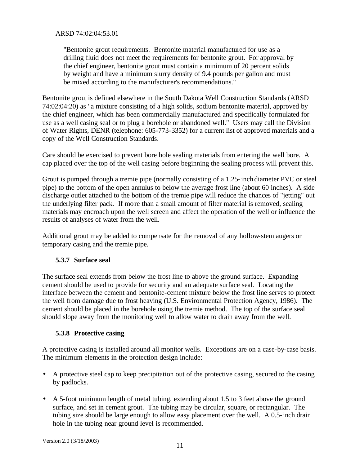ARSD 74:02:04:53.01

"Bentonite grout requirements. Bentonite material manufactured for use as a drilling fluid does not meet the requirements for bentonite grout. For approval by the chief engineer, bentonite grout must contain a minimum of 20 percent solids by weight and have a minimum slurry density of 9.4 pounds per gallon and must be mixed according to the manufacturer's recommendations."

Bentonite grout is defined elsewhere in the South Dakota Well Construction Standards (ARSD 74:02:04:20) as "a mixture consisting of a high solids, sodium bentonite material, approved by the chief engineer, which has been commercially manufactured and specifically formulated for use as a well casing seal or to plug a borehole or abandoned well." Users may call the Division of Water Rights, DENR (telephone: 605-773-3352) for a current list of approved materials and a copy of the Well Construction Standards.

Care should be exercised to prevent bore hole sealing materials from entering the well bore. A cap placed over the top of the well casing before beginning the sealing process will prevent this.

Grout is pumped through a tremie pipe (normally consisting of a 1.25-inch diameter PVC or steel pipe) to the bottom of the open annulus to below the average frost line (about 60 inches). A side discharge outlet attached to the bottom of the tremie pipe will reduce the chances of "jetting" out the underlying filter pack. If more than a small amount of filter material is removed, sealing materials may encroach upon the well screen and affect the operation of the well or influence the results of analyses of water from the well.

Additional grout may be added to compensate for the removal of any hollow-stem augers or temporary casing and the tremie pipe.

#### **5.3.7 Surface seal**

The surface seal extends from below the frost line to above the ground surface. Expanding cement should be used to provide for security and an adequate surface seal. Locating the interface between the cement and bentonite-cement mixture below the frost line serves to protect the well from damage due to frost heaving (U.S. Environmental Protection Agency, 1986). The cement should be placed in the borehole using the tremie method. The top of the surface seal should slope away from the monitoring well to allow water to drain away from the well.

#### **5.3.8 Protective casing**

A protective casing is installed around all monitor wells. Exceptions are on a case-by-case basis. The minimum elements in the protection design include:

- A protective steel cap to keep precipitation out of the protective casing, secured to the casing by padlocks.
- A 5-foot minimum length of metal tubing, extending about 1.5 to 3 feet above the ground surface, and set in cement grout. The tubing may be circular, square, or rectangular. The tubing size should be large enough to allow easy placement over the well. A 0.5-inch drain hole in the tubing near ground level is recommended.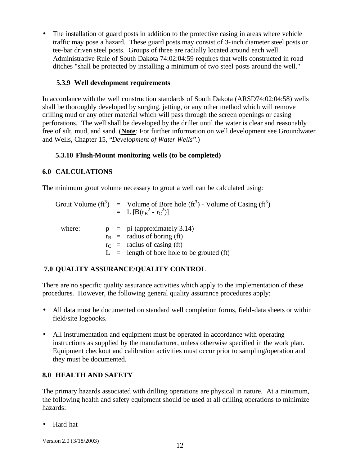• The installation of guard posts in addition to the protective casing in areas where vehicle traffic may pose a hazard. These guard posts may consist of 3-inch diameter steel posts or tee-bar driven steel posts. Groups of three are radially located around each well. Administrative Rule of South Dakota 74:02:04:59 requires that wells constructed in road ditches "shall be protected by installing a minimum of two steel posts around the well."

#### **5.3.9 Well development requirements**

In accordance with the well construction standards of South Dakota (ARSD74:02:04:58) wells shall be thoroughly developed by surging, jetting, or any other method which will remove drilling mud or any other material which will pass through the screen openings or casing perforations. The well shall be developed by the driller until the water is clear and reasonably free of silt, mud, and sand. (**Note**: For further information on well development see Groundwater and Wells, Chapter 15, "*Development of Water Wells*".)

#### **5.3.10 Flush-Mount monitoring wells (to be completed)**

#### **6.0 CALCULATIONS**

The minimum grout volume necessary to grout a well can be calculated using:

|        |  | Grout Volume (ft <sup>3</sup> ) = Volume of Bore hole (ft <sup>3</sup> ) - Volume of Casing (ft <sup>3</sup> )<br>= $L [B(r_B^2 - r_C^2)]$ |
|--------|--|--------------------------------------------------------------------------------------------------------------------------------------------|
| where: |  | $p = pi$ (approximately 3.14)                                                                                                              |
|        |  | $r_B$ = radius of boring (ft)                                                                                                              |
|        |  | $r_C$ = radius of casing (ft)                                                                                                              |
|        |  | $L =$ length of bore hole to be grouted (ft)                                                                                               |

#### **7.0 QUALITY ASSURANCE/QUALITY CONTROL**

There are no specific quality assurance activities which apply to the implementation of these procedures. However, the following general quality assurance procedures apply:

- All data must be documented on standard well completion forms, field-data sheets or within field/site logbooks.
- All instrumentation and equipment must be operated in accordance with operating instructions as supplied by the manufacturer, unless otherwise specified in the work plan. Equipment checkout and calibration activities must occur prior to sampling/operation and they must be documented.

#### **8.0 HEALTH AND SAFETY**

The primary hazards associated with drilling operations are physical in nature. At a minimum, the following health and safety equipment should be used at all drilling operations to minimize hazards:

• Hard hat

Version 2.0 (3/18/2003)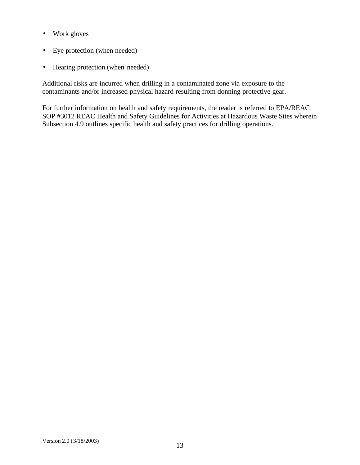- Work gloves
- Eye protection (when needed)
- Hearing protection (when needed)

Additional risks are incurred when drilling in a contaminated zone via exposure to the contaminants and/or increased physical hazard resulting from donning protective gear.

For further information on health and safety requirements, the reader is referred to EPA/REAC SOP #3012 REAC Health and Safety Guidelines for Activities at Hazardous Waste Sites wherein Subsection 4.9 outlines specific health and safety practices for drilling operations.